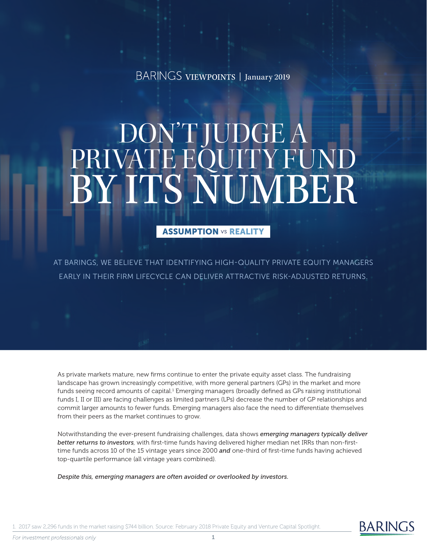BARINGS VIEWPOINTS | January 2019

# DON'T JUDGE A PRIVATE EQUITY FUND BY ITS NUMBER

**ASSUMPTION VS REALITY** 

AT BARINGS, WE BELIEVE THAT IDENTIFYING HIGH-QUALITY PRIVATE EQUITY MANAGERS EARLY IN THEIR FIRM LIFECYCLE CAN DELIVER ATTRACTIVE RISK-ADJUSTED RETURNS.

As private markets mature, new firms continue to enter the private equity asset class. The fundraising landscape has grown increasingly competitive, with more general partners (GPs) in the market and more funds seeing record amounts of capital.<sup>1</sup> Emerging managers (broadly defined as GPs raising institutional funds I, II or III) are facing challenges as limited partners (LPs) decrease the number of GP relationships and commit larger amounts to fewer funds. Emerging managers also face the need to differentiate themselves from their peers as the market continues to grow.

Notwithstanding the ever-present fundraising challenges, data shows *emerging managers typically deliver better returns to investors*, with first-time funds having delivered higher median net IRRs than non-firsttime funds across 10 of the 15 vintage years since 2000 *and* one-third of first-time funds having achieved top-quartile performance (all vintage years combined).

*Despite this, emerging managers are often avoided or overlooked by investors.* 

1. 2017 saw 2,296 funds in the market raising \$744 billion. Source: February 2018 Private Equity and Venture Capital Spotlight.

**BARINGS**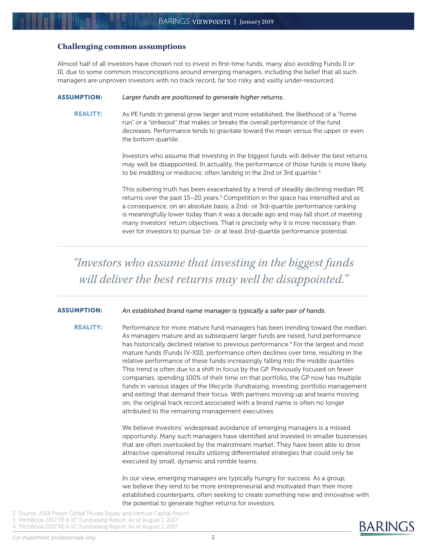#### **Challenging common assumptions**

Almost half of all investors have chosen not to invest in first-time funds, many also avoiding Funds II or III, due to some common misconceptions around emerging managers, including the belief that all such managers are unproven investors with no track record, far too risky and vastly under-resourced.

#### *Larger funds are positioned to generate higher returns.* ASSUMPTION:

As PE funds in general grow larger and more established, the likelihood of a "home run" or a "strikeout" that makes or breaks the overall performance of the fund decreases. Performance tends to gravitate toward the mean versus the upper or even the bottom quartile. REALITY:

> Investors who assume that investing in the biggest funds will deliver the best returns may well be disappointed. In actuality, the performance of those funds is more likely to be middling or mediocre, often landing in the 2nd or 3rd quartile.<sup>2</sup>

This sobering truth has been exacerbated by a trend of steadily declining median PE returns over the past  $15–20$  years. $^3$  Competition in the space has intensified and as a consequence, on an absolute basis, a 2nd- or 3rd-quartile performance ranking is meaningfully lower today than it was a decade ago and may fall short of meeting many investors' return objectives. That is precisely why it is more necessary than ever for investors to pursue 1st- or at least 2nd-quartile performance potential.

*"Investors who assume that investing in the biggest funds will deliver the best returns may well be disappointed."*

#### ASSUMPTION:

REALITY:

*An established brand name manager is typically a safer pair of hands.*

Performance for more mature fund managers has been trending toward the median. As managers mature and as subsequent larger funds are raised, fund performance has historically declined relative to previous performance.<sup>4</sup> For the largest and most mature funds (Funds IV-XIII), performance often declines over time, resulting in the relative performance of these funds increasingly falling into the middle quartiles. This trend is often due to a shift in focus by the GP. Previously focused on fewer companies, spending 100% of their time on that portfolio, the GP now has multiple funds in various stages of the lifecycle (fundraising, investing, portfolio management and exiting) that demand their focus. With partners moving up and teams moving on, the original track record associated with a brand name is often no longer attributed to the remaining management executives.

We believe investors' widespread avoidance of emerging managers is a missed opportunity. Many such managers have identified and invested in smaller businesses that are often overlooked by the mainstream market. They have been able to drive attractive operational results utilizing differentiated strategies that could only be executed by small, dynamic and nimble teams.

In our view, emerging managers are typically hungry for success. As a group, we believe they tend to be more entrepreneurial and motivated than their more established counterparts, often seeking to create something new and innovative with the potential to generate higher returns for investors.

2. Source: 2018 Preqin Global Private Equity and Venture Capital Report.



<sup>3.</sup> PitchBook 2017 PE & VC Fundraising Report. As of August 1, 2017.

<sup>4.</sup> PitchBook 2017 PE & VC Fundraising Report. As of August 1, 2017.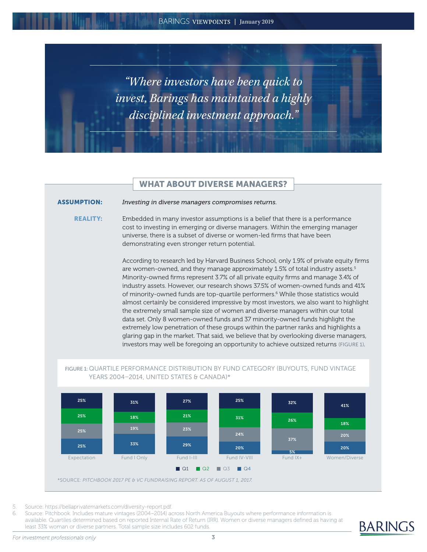*"Where investors have been quick to invest, Barings has maintained a highly disciplined investment approach."* 

# WHAT ABOUT DIVERSE MANAGERS?

#### ASSUMPTION:

*Investing in diverse managers compromises returns.*

REALITY:

Embedded in many investor assumptions is a belief that there is a performance cost to investing in emerging or diverse managers. Within the emerging manager universe, there is a subset of diverse or women-led firms that have been demonstrating even stronger return potential.

According to research led by Harvard Business School, only 1.9% of private equity firms are women-owned, and they manage approximately 1.5% of total industry assets.<sup>5</sup> Minority-owned firms represent 3.7% of all private equity firms and manage 3.4% of industry assets. However, our research shows 37.5% of women-owned funds and 41% of minority-owned funds are top-quartile performers.<sup>6</sup> While those statistics would almost certainly be considered impressive by most investors, we also want to highlight the extremely small sample size of women and diverse managers within our total data set. Only 8 women-owned funds and 37 minority-owned funds highlight the extremely low penetration of these groups within the partner ranks and highlights a glaring gap in the market. That said, we believe that by overlooking diverse managers, investors may well be foregoing an opportunity to achieve outsized returns (FIGURE 1).

### FIGURE 1: QUARTILE PERFORMANCE DISTRIBUTION BY FUND CATEGORY (BUYOUTS, FUND VINTAGE YEARS 2004-2014, UNITED STATES & CANADA)\*



\*SOURCE: *PITCHBOOK 2017 PE & VC FUNDRAISING REPORT. AS OF AUGUST 1, 2017.* 

5. Source: https://bellaprivatemarkets.com/diversity-report.pdf.

6. Source: Pitchbook. Includes mature vintages (2004–2014) across North America Buyouts where performance information is available. Quartiles determined based on reported Internal Rate of Return (IRR). Women or diverse managers defined as having at least 33% woman or diverse partners. Total sample size includes 602 funds.

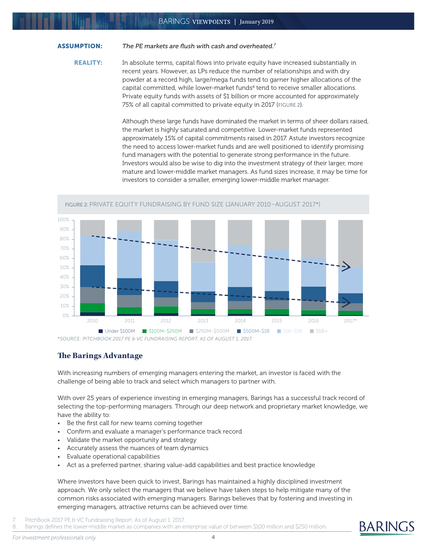#### *The PE markets are flush with cash and overheated.7* ASSUMPTION:

In absolute terms, capital flows into private equity have increased substantially in recent years. However, as LPs reduce the number of relationships and with dry powder at a record high, large/mega funds tend to garner higher allocations of the capital committed, while lower-market funds<sup>8</sup> tend to receive smaller allocations. Private equity funds with assets of \$1 billion or more accounted for approximately 75% of all capital committed to private equity in 2017 (FIGURE 2). REALITY:

> Although these large funds have dominated the market in terms of sheer dollars raised, the market is highly saturated and competitive. Lower-market funds represented approximately 15% of capital commitments raised in 2017. Astute investors recognize the need to access lower-market funds and are well positioned to identify promising fund managers with the potential to generate strong performance in the future. Investors would also be wise to dig into the investment strategy of their larger, more mature and lower-middle market managers. As fund sizes increase, it may be time for investors to consider a smaller, emerging lower-middle market manager.



FIGURE 2: PRIVATE EQUITY FUNDRAISING BY FUND SIZE (JANUARY 2010–AUGUST 2017\*)

\*SOURCE: *PITCHBOOK 2017 PE & VC FUNDRAISING REPORT. AS OF AUGUST 1, 2017.*

## **The Barings Advantage**

With increasing numbers of emerging managers entering the market, an investor is faced with the challenge of being able to track and select which managers to partner with.

With over 25 years of experience investing in emerging managers, Barings has a successful track record of selecting the top-performing managers. Through our deep network and proprietary market knowledge, we have the ability to:

- Be the first call for new teams coming together
- Confirm and evaluate a manager's performance track record
- Validate the market opportunity and strategy
- Accurately assess the nuances of team dynamics
- Evaluate operational capabilities
- Act as a preferred partner, sharing value-add capabilities and best practice knowledge

Where investors have been quick to invest, Barings has maintained a highly disciplined investment approach. We only select the managers that we believe have taken steps to help mitigate many of the common risks associated with emerging managers. Barings believes that by fostering and investing in emerging managers, attractive returns can be achieved over time.

PitchBook 2017 PE & VC Fundraising Report. As of August 1, 2017.

8. Barings defines the lower-middle market as companies with an enterprise value of between \$100 million and \$250 million.

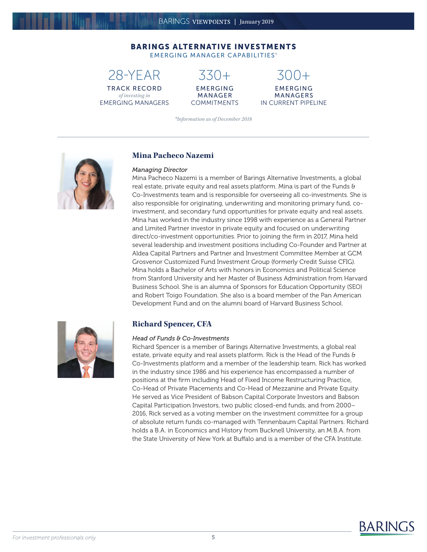# BARINGS ALTERNATIVE INVESTMENTS

EMERGING MANAGER CAPABILITIES*\**

28-YEAR TRACK RECORD EMERGING MANAGERS *of investing in*

EMERGING MANAGER **COMMITMENTS** 330+

EMERGING MANAGERS IN CURRENT PIPELINE 300+

*\*Information as of December 2018*



# **Mina Pacheco Nazemi**

#### *Managing Director*

Mina Pacheco Nazemi is a member of Barings Alternative Investments, a global real estate, private equity and real assets platform. Mina is part of the Funds & Co-Investments team and is responsible for overseeing all co-investments. She is also responsible for originating, underwriting and monitoring primary fund, coinvestment, and secondary fund opportunities for private equity and real assets. Mina has worked in the industry since 1998 with experience as a General Partner and Limited Partner investor in private equity and focused on underwriting direct/co-investment opportunities. Prior to joining the firm in 2017, Mina held several leadership and investment positions including Co-Founder and Partner at Aldea Capital Partners and Partner and Investment Committee Member at GCM Grosvenor Customized Fund Investment Group (formerly Credit Suisse CFIG). Mina holds a Bachelor of Arts with honors in Economics and Political Science from Stanford University and her Master of Business Administration from Harvard Business School. She is an alumna of Sponsors for Education Opportunity (SEO) and Robert Toigo Foundation. She also is a board member of the Pan American Development Fund and on the alumni board of Harvard Business School.



# **Richard Spencer, CFA**

## *Head of Funds & Co-Investments*

Richard Spencer is a member of Barings Alternative Investments, a global real estate, private equity and real assets platform. Rick is the Head of the Funds  $\theta$ Co-Investments platform and a member of the leadership team. Rick has worked in the industry since 1986 and his experience has encompassed a number of positions at the firm including Head of Fixed Income Restructuring Practice, Co-Head of Private Placements and Co-Head of Mezzanine and Private Equity. He served as Vice President of Babson Capital Corporate Investors and Babson Capital Participation Investors, two public closed-end funds, and from 2000– 2016, Rick served as a voting member on the investment committee for a group of absolute return funds co-managed with Tennenbaum Capital Partners. Richard holds a B.A. in Economics and History from Bucknell University, an M.B.A. from the State University of New York at Buffalo and is a member of the CFA Institute.